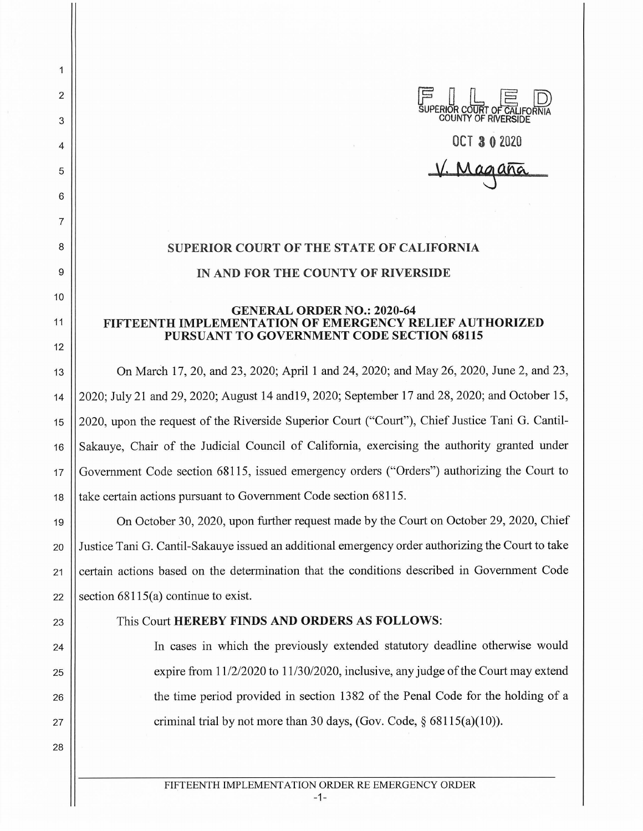

## **OCT 3 0 2020**

**\j, M45aM** 

## **SUPERIOR COURT OF THE STATE OF CALIFORNIA IN AND FOR THE COUNTY OF RIVERSIDE**

2

 $\mathbf{1}$ 

3

4

5

6

7

8

9

10

11

12

28

## **GENERAL ORDER NO.: 2020-64 FIFTEENTH IMPLEMENTATION OF EMERGENCY RELIEF AUTHORIZED PURSUANT TO GOVERNMENT CODE SECTION 68115**

13 On March 17, 20, and 23, 2020; April 1 and 24, 2020; and May 26, 2020, June 2, and 23, 14 2020; July 21 and 29, 2020; August 14 and19, 2020; September 17 and 28, 2020; and October 15, 15 2020, upon the request of the Riverside Superior Court ("Court"), Chief Justice Tani G. Cantil-16 Sakauve, Chair of the Judicial Council of California, exercising the authority granted under 17 Government Code section 68115, issued emergency orders ("Orders") authorizing the Court to 18 || take certain actions pursuant to Government Code section 68115.

19 On October 30, 2020, upon further request made by the Court on October 29, 2020, Chief 20 Justice Tani G. Cantil-Sakauye issued an additional emergency order authorizing the Court to take 21 certain actions based on the determination that the conditions described in Government Code 22 Section  $68115(a)$  continue to exist.

## 23 This Court **HEREBY FINDS AND ORDERS AS FOLLOWS:**

24 In cases in which the previously extended statutory deadline otherwise would 25  $\vert$  expire from  $11/2/2020$  to  $11/30/2020$ , inclusive, any judge of the Court may extend 26 the time period provided in section 1382 of the Penal Code for the holding of a 27  $\vert$  criminal trial by not more than 30 days, (Gov. Code, § 68115(a)(10)).